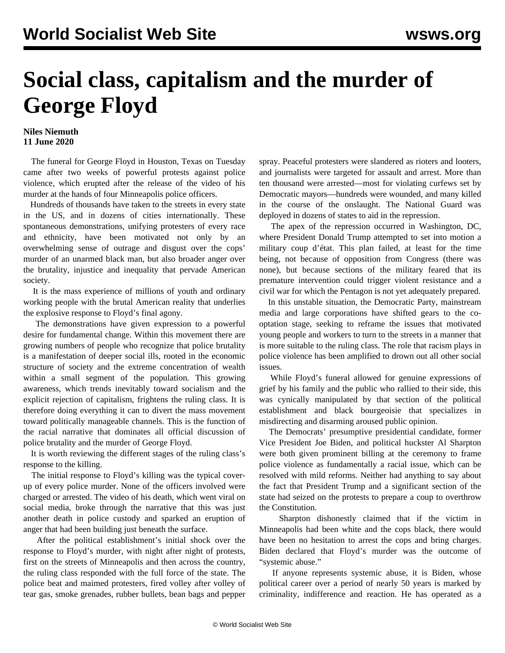## **Social class, capitalism and the murder of George Floyd**

## **Niles Niemuth 11 June 2020**

 The funeral for George Floyd in Houston, Texas on Tuesday came after two weeks of powerful protests against police violence, which erupted after the release of the video of his murder at the hands of four Minneapolis police officers.

 Hundreds of thousands have taken to the streets in every state in the US, and in dozens of cities internationally. These spontaneous demonstrations, unifying protesters of every race and ethnicity, have been motivated not only by an overwhelming sense of outrage and disgust over the cops' murder of an unarmed black man, but also broader anger over the brutality, injustice and inequality that pervade American society.

 It is the mass experience of millions of youth and ordinary working people with the brutal American reality that underlies the explosive response to Floyd's final agony.

 The demonstrations have given expression to a powerful desire for fundamental change. Within this movement there are growing numbers of people who recognize that police brutality is a manifestation of deeper social ills, rooted in the economic structure of society and the extreme concentration of wealth within a small segment of the population. This growing awareness, which trends inevitably toward socialism and the explicit rejection of capitalism, frightens the ruling class. It is therefore doing everything it can to divert the mass movement toward politically manageable channels. This is the function of the racial narrative that dominates all official discussion of police brutality and the murder of George Floyd.

 It is worth reviewing the different stages of the ruling class's response to the killing.

 The initial response to Floyd's killing was the typical coverup of every police murder. None of the officers involved were charged or arrested. The video of his death, which went viral on social media, broke through the narrative that this was just another death in police custody and sparked an eruption of anger that had been building just beneath the surface.

 After the political establishment's initial shock over the response to Floyd's murder, with night after night of protests, first on the streets of Minneapolis and then across the country, the ruling class responded with the full force of the state. The police beat and maimed protesters, fired volley after volley of tear gas, smoke grenades, rubber bullets, bean bags and pepper spray. Peaceful protesters were slandered as rioters and looters, and journalists were targeted for assault and arrest. More than ten thousand were arrested—most for violating curfews set by Democratic mayors—hundreds were wounded, and many killed in the course of the onslaught. The National Guard was deployed in dozens of states to aid in the repression.

 The apex of the repression occurred in Washington, DC, where President Donald Trump attempted to set into motion a military coup d'état. This plan failed, at least for the time being, not because of opposition from Congress (there was none), but because sections of the military feared that its premature intervention could trigger violent resistance and a civil war for which the Pentagon is not yet adequately prepared.

 In this unstable situation, the Democratic Party, mainstream media and large corporations have shifted gears to the cooptation stage, seeking to reframe the issues that motivated young people and workers to turn to the streets in a manner that is more suitable to the ruling class. The role that racism plays in police violence has been amplified to drown out all other social issues.

 While Floyd's funeral allowed for genuine expressions of grief by his family and the public who rallied to their side, this was cynically manipulated by that section of the political establishment and black bourgeoisie that specializes in misdirecting and disarming aroused public opinion.

 The Democrats' presumptive presidential candidate, former Vice President Joe Biden, and political huckster Al Sharpton were both given prominent billing at the ceremony to frame police violence as fundamentally a racial issue, which can be resolved with mild reforms. Neither had anything to say about the fact that President Trump and a significant section of the state had seized on the protests to prepare a coup to overthrow the Constitution.

 Sharpton dishonestly claimed that if the victim in Minneapolis had been white and the cops black, there would have been no hesitation to arrest the cops and bring charges. Biden declared that Floyd's murder was the outcome of "systemic abuse."

 If anyone represents systemic abuse, it is Biden, whose political career over a period of nearly 50 years is marked by criminality, indifference and reaction. He has operated as a